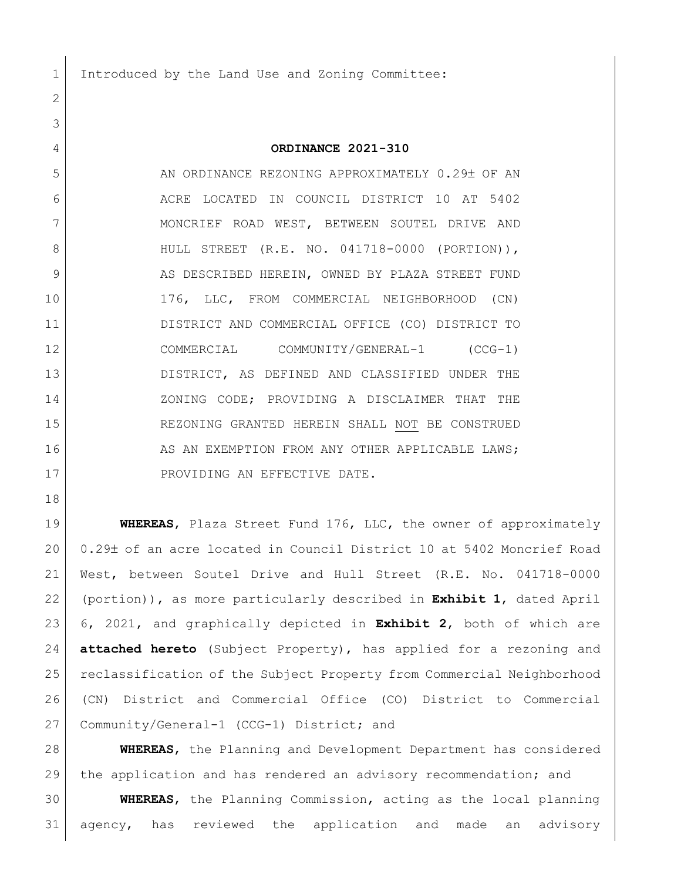1 Introduced by the Land Use and Zoning Committee:

## **ORDINANCE 2021-310**

5 AN ORDINANCE REZONING APPROXIMATELY 0.29± OF AN ACRE LOCATED IN COUNCIL DISTRICT 10 AT 5402 7 | MONCRIEF ROAD WEST, BETWEEN SOUTEL DRIVE AND HULL STREET (R.E. NO. 041718-0000 (PORTION)), 9 AS DESCRIBED HEREIN, OWNED BY PLAZA STREET FUND 176, LLC, FROM COMMERCIAL NEIGHBORHOOD (CN) DISTRICT AND COMMERCIAL OFFICE (CO) DISTRICT TO COMMERCIAL COMMUNITY/GENERAL-1 (CCG-1) DISTRICT, AS DEFINED AND CLASSIFIED UNDER THE 14 ZONING CODE; PROVIDING A DISCLAIMER THAT THE REZONING GRANTED HEREIN SHALL NOT BE CONSTRUED 16 AS AN EXEMPTION FROM ANY OTHER APPLICABLE LAWS; 17 PROVIDING AN EFFECTIVE DATE.

 **WHEREAS**, Plaza Street Fund 176, LLC, the owner of approximately 20 0.29± of an acre located in Council District 10 at 5402 Moncrief Road West, between Soutel Drive and Hull Street (R.E. No. 041718-0000 (portion)), as more particularly described in **Exhibit 1**, dated April 6, 2021, and graphically depicted in **Exhibit 2**, both of which are **attached hereto** (Subject Property), has applied for a rezoning and reclassification of the Subject Property from Commercial Neighborhood (CN) District and Commercial Office (CO) District to Commercial 27 Community/General-1 (CCG-1) District; and

 **WHEREAS**, the Planning and Development Department has considered the application and has rendered an advisory recommendation; and

 **WHEREAS**, the Planning Commission, acting as the local planning agency, has reviewed the application and made an advisory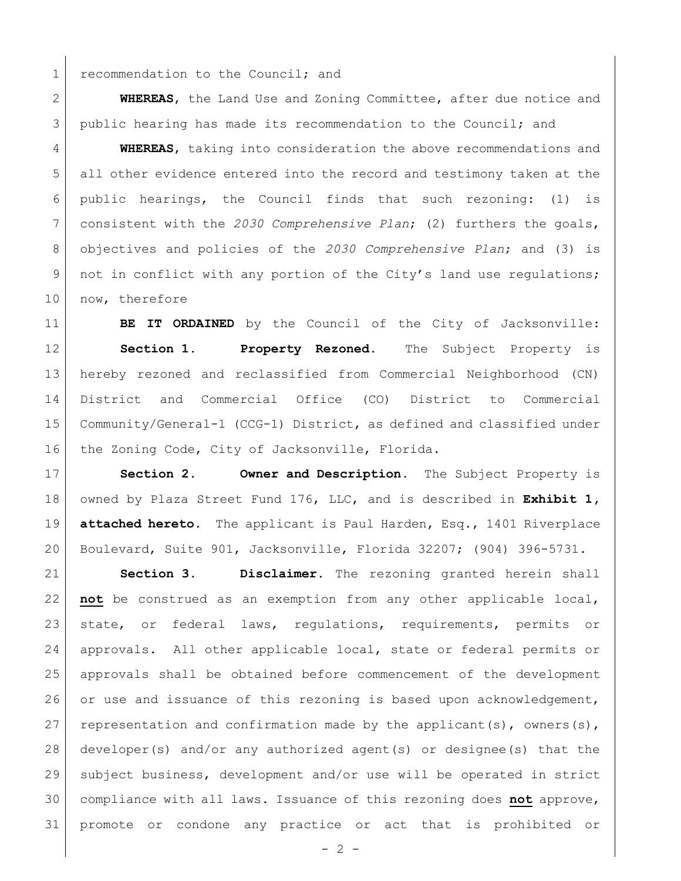1 recommendation to the Council; and

 **WHEREAS**, the Land Use and Zoning Committee, after due notice and public hearing has made its recommendation to the Council; and

 **WHEREAS**, taking into consideration the above recommendations and all other evidence entered into the record and testimony taken at the public hearings, the Council finds that such rezoning: (1) is consistent with the *2030 Comprehensive Plan*; (2) furthers the goals, objectives and policies of the *2030 Comprehensive Plan*; and (3) is 9 | not in conflict with any portion of the City's land use regulations; 10 now, therefore

**BE IT ORDAINED** by the Council of the City of Jacksonville: **Section 1. Property Rezoned.** The Subject Property is hereby rezoned and reclassified from Commercial Neighborhood (CN) District and Commercial Office (CO) District to Commercial Community/General-1 (CCG-1) District, as defined and classified under 16 the Zoning Code, City of Jacksonville, Florida.

 **Section 2. Owner and Description.** The Subject Property is owned by Plaza Street Fund 176, LLC, and is described in **Exhibit 1, attached hereto.** The applicant is Paul Harden, Esq., 1401 Riverplace Boulevard, Suite 901, Jacksonville, Florida 32207; (904) 396-5731.

 **Section 3. Disclaimer.** The rezoning granted herein shall **not** be construed as an exemption from any other applicable local, state, or federal laws, regulations, requirements, permits or approvals. All other applicable local, state or federal permits or approvals shall be obtained before commencement of the development 26 or use and issuance of this rezoning is based upon acknowledgement, 27 representation and confirmation made by the applicant(s), owners(s), developer(s) and/or any authorized agent(s) or designee(s) that the subject business, development and/or use will be operated in strict compliance with all laws. Issuance of this rezoning does **not** approve, promote or condone any practice or act that is prohibited or